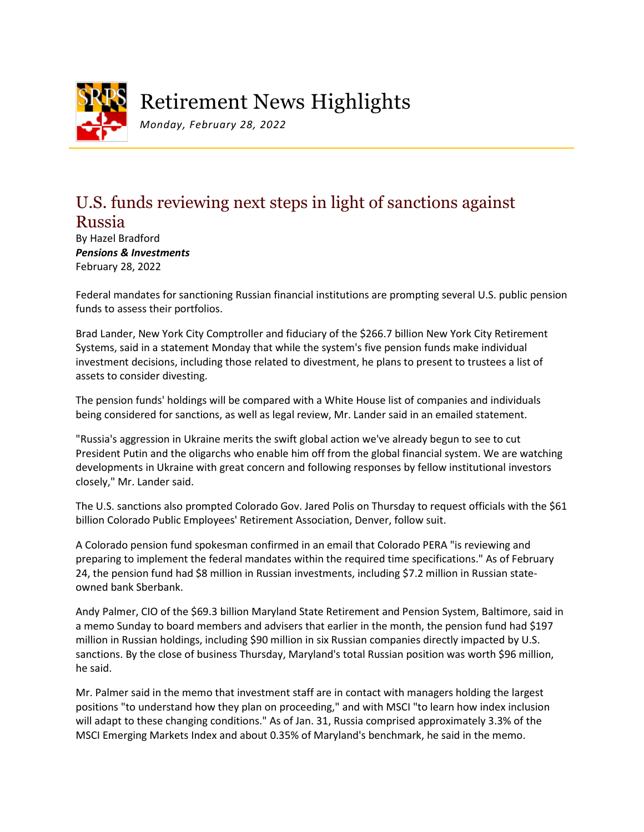

Retirement News Highlights

*Monday, February 28, 2022*

## U.S. funds reviewing next steps in light of sanctions against Russia

By Hazel Bradford *Pensions & Investments* February 28, 2022

Federal mandates for sanctioning Russian financial institutions are prompting several U.S. public pension funds to assess their portfolios.

Brad Lander, New York City Comptroller and fiduciary of the \$266.7 billion New York City Retirement Systems, said in a statement Monday that while the system's five pension funds make individual investment decisions, including those related to divestment, he plans to present to trustees a list of assets to consider divesting.

The pension funds' holdings will be compared with a White House list of companies and individuals being considered for sanctions, as well as legal review, Mr. Lander said in an emailed statement.

"Russia's aggression in Ukraine merits the swift global action we've already begun to see to cut President Putin and the oligarchs who enable him off from the global financial system. We are watching developments in Ukraine with great concern and following responses by fellow institutional investors closely," Mr. Lander said.

The U.S. sanctions also prompted Colorado Gov. Jared Polis on Thursday to request officials with the \$61 billion Colorado Public Employees' Retirement Association, Denver, follow suit.

A Colorado pension fund spokesman confirmed in an email that Colorado PERA "is reviewing and preparing to implement the federal mandates within the required time specifications." As of February 24, the pension fund had \$8 million in Russian investments, including \$7.2 million in Russian stateowned bank Sberbank.

Andy Palmer, CIO of the \$69.3 billion Maryland State Retirement and Pension System, Baltimore, said in a memo Sunday to board members and advisers that earlier in the month, the pension fund had \$197 million in Russian holdings, including \$90 million in six Russian companies directly impacted by U.S. sanctions. By the close of business Thursday, Maryland's total Russian position was worth \$96 million, he said.

Mr. Palmer said in the memo that investment staff are in contact with managers holding the largest positions "to understand how they plan on proceeding," and with MSCI "to learn how index inclusion will adapt to these changing conditions." As of Jan. 31, Russia comprised approximately 3.3% of the MSCI Emerging Markets Index and about 0.35% of Maryland's benchmark, he said in the memo.